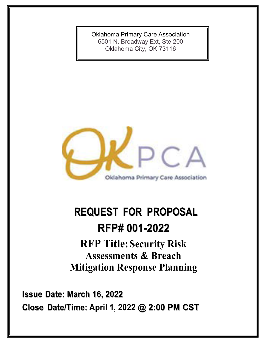Oklahoma Primary Care Association 6501 N. Broadway Ext, Ste 200 Oklahoma City, OK 73116



# **REQUEST FOR PROPOSAL RFP# 001-2022**

**RFP Title:Security Risk Assessments & Breach Mitigation Response Planning**

**Issue Date: March 16, 2022 Close Date/Time: April 1, 2022 @ 2:00 PM CST**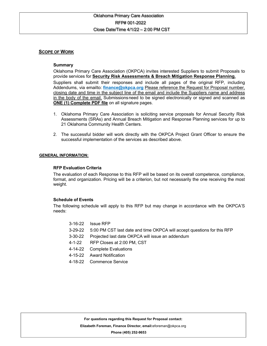# **SCOPE OF WORK**

# **Summary**

Oklahoma Primary Care Association (OKPCA) invites interested Suppliers to submit Proposals to provide services for **Security Risk Assessments & Breach Mitigation Response Planning.**

Suppliers shall submit their responses and include all pages of the original RFP, including Addendums, via emailto: **finance@okpca.org** Please reference the Request for Proposal number, closing date and time in the subject line of the email and include the Suppliers name and address in the body of the email. Submissionsneed to be signed electronically or signed and scanned as **ONE (1) Complete PDF file** on all signature pages.

- 1. Oklahoma Primary Care Association is soliciting service proposals for Annual Security Risk Assessments (SRAs) and Annual Breach Mitigation and Response Planning services for up to 21 Oklahoma Community Health Centers.
- 2. The successful bidder will work directly with the OKPCA Project Grant Officer to ensure the successful implementation of the services as described above.

## **GENERAL INFORMATION:**

## **RFP Evaluation Criteria**

The evaluation of each Response to this RFP will be based on its overall competence, compliance, format, and organization. Pricing will be a criterion, but not necessarily the one receiving the most weight.

#### **Schedule of Events**

The following schedule will apply to this RFP but may change in accordance with the OKPCA'S needs:

- 3-16-22 Issue RFP
- 3-29-22 5:00 PM CST last date and time OKPCA will accept questions for this RFP
- 3-30-22 Projected last date OKPCA will issue an addendum
- 4-1-22 RFP Closes at 2:00 PM, CST
- 4-14-22 Complete Evaluations
- 4-15-22 Award Notification
- 4-18-22 Commence Service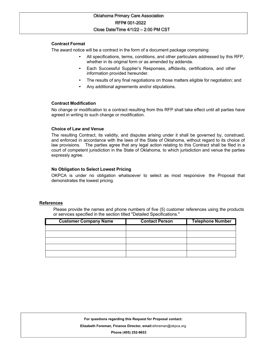# **Contract Format**

The award notice will be a contract in the form of a document package comprising:

- All specifications, terms, conditions, and other particulars addressed by this RFP, whether in its original form or as amended by addenda.
- Each Successful Supplier's Responses, affidavits, certifications, and other information provided hereunder.
- The results of any final negotiations on those matters eligible for negotiation; and
- Any additional agreements and/or stipulations.

#### **Contract Modification**

No change or modification to a contract resulting from this RFP shall take effect until all parties have agreed in writing to such change or modification.

#### **Choice of Law and Venue**

The resulting Contract, its validity, and disputes arising under it shall be governed by, construed, and enforced in accordance with the laws of the State of Oklahoma, without regard to its choice of law provisions. The parties agree that any legal action relating to this Contract shall be filed in a court of competent jurisdiction in the State of Oklahoma, to which jurisdiction and venue the parties expressly agree.

## **No Obligation to Select Lowest Pricing**

OKPCA is under no obligation whatsoever to select as most responsive the Proposal that demonstrates the lowest pricing.

#### **References**

Please provide the names and phone numbers of five (5) customer references using the products or services specified in the section titled "Detailed Specifications."

| <b>Customer Company Name</b> | <b>Contact Person</b> | <b>Telephone Number</b> |
|------------------------------|-----------------------|-------------------------|
|                              |                       |                         |
|                              |                       |                         |
|                              |                       |                         |
|                              |                       |                         |
|                              |                       |                         |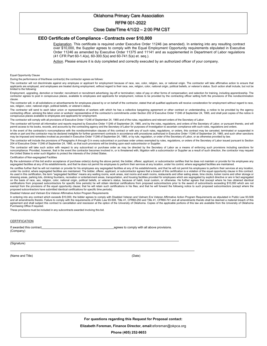#### Oklahoma Primary Care Association

#### RFP# 001-2022

#### Close Date/Time 4/1/22 – 2:00 PM CST

#### **EEO Certificate of Compliance - Contracts over \$10,000**

Explanation. This certificate is required under Executive Order 11246 (as amended). In entering into any resulting contract over \$10,000, the Supplier agrees to comply with the Equal Employment Opportunity requirements stipulated in Executive Order 11246 as amended by Executive Order 11375 and 11141 and as supplemented in Department of Labor regulations (41 CFR Part 60-1.4(a), 60-300.5(a) and 60-741.5(a) et. seq.).

Action. Please ensure it is duly completed and correctly executed by an authorized officer of your company.

Equal Opportunity Clause

During the performance of this/these contract(s) the contractor agrees as follows

The contractor will not discriminate against any employee or applicant for employment because of race, sex, color, religion, sex, or national origin. The contractor will take affirmative action to ensure that applicants are employed, and employees are treated during employment, without regard to their race, sex, religion, color, national origin, political beliefs, or veteran's status. Such action shall include, but not be limited to the following:

Employment, upgrading, demotion or transfer; recruitment or recruitment advertising; lay-off or termination; rates of pay or other forms of compensation; and selection for training, including apprenticeship. The contractor agrees to post in conspicuous places, available to employees and applicants for employment, notices to be provided by the contracting officer setting forth the provisions of this nondiscrimination clause.

The contractor will, in all solicitations or advertisements for employees placed by or on behalf of the contractor, stated that all qualified applicants will receive consideration for employment without regard to race, sex, religion, color, national origin, political beliefs, or veteran's status.

The contractor will send to each labor union or representative of workers with which he has a collective bargaining agreement or other contract or understanding, a notice to be provided by the agency contracting officer, advising the labor union or workers' representative of the contractor's commitments under Section 202 of Executive Order 11246 of September 24, 1965, and shall post copies of the notice in conspicuous places available to employees and applicants for employment.

The contractor will comply with all provisions of Executive Order 11246 of September 24, 1965 and of the rules, regulations and relevant orders of the Secretary of Labor.

The contractor will furnish all information and reports required by Executive Order 11246 of September 24, 1965, and by the rules, regulations, and orders of the Secretary of Labor, or pursuant thereto, and will permit access to his books, records, and accounts by the contracting agency and the Secretary of Labor for purposes of investigation to ascertain compliance with such rules, regulations and orders.

In the event of the contractor's noncompliance with the nondiscrimination clauses of this contract or with any of such rules, regulations, or orders, this contract may be canceled, terminated or suspended in whole or part and the contractor may be declared ineligible for further government contracts in accordance with procedures authorized in Executive Order 11246 of September 24, 1965, and such other sanctions may be imposed and remedies invoked as provided in Executive Order 11246 of September 24, 1965, or by rule, regulation, or order of the Secretary of Labor, or as otherwise provided by law.

The contractor will include the provisions of Paragraphs A through G in every subcontract or purchase order unless exempted by rules, regulations, or orders of the Secretary of Labor issued pursuant to Section 204 of Executive Order 11246 of September 24, 1965, so that such provisions will be binding upon each subcontractor or Supplier.

The contractor will take such action with respect to any subcontract or purchase order as may be directed by the Secretary of Labor as a means of enforcing such provisions including sanctions for noncompliance: Provided, however, that in the event the contractor becomes involved in, or is threatened with, litigation with a subcontractor or Supplier as a result of such direction, the contractor may request the United States to enter such litigation to protect the interests of the United States.

Certification of Non-segregated Facilities

By the submission of this bid and/or acceptance of purchase order(s) during the above period, the bidder, offerer, applicant, or subcontractor certifies that he does not maintain or provide for his employees any segregated facilities at any of his establishments, and that he does not permit his employees to perform their services at any location, under his control, where segregated facilities are maintained.

He certifies further that he will not maintain or provide for his employees any segregated facilities at any of his establishments, and that he will not permit his employees to perform their services at any location, under his control, where segregated facilities are maintained. The bidder, offerer, applicant, or subcontractor agrees that a breach of this certification is a violation of the equal opportunity clause in this contract. As used in this certification, the term "segregated facilities" means any waiting rooms, work areas, rest rooms and wash rooms, restaurants and other eating areas, time clocks, locker rooms and other storage or dressing areas, parking lots, drinking fountains, recreation or entertainment areas, transportation, and housing facilities provided for employees which are segregated by explicit directive or are in fact segregated on the basis of race, sex, religion, color, national origin, political beliefs, or veteran's status, because of habit, local custom, or otherwise. He further agrees that (except where he has obtained identical certifications from proposed subcontractors for specific time periods) he will obtain identical certifications from proposed subcontractors prior to the award of subcontracts exceeding \$10,000 which are not exempt from the provisions of the equal opportunity clause; that he will retain such certifications in his files; and that he will forward the following notice to such proposed subcontractors (except where the proposed subcontractors have submitted identical certifications for specific time periods).

Disabled Veteran and Vietnam Era Veteran Affirmative Action Program Requirements

In entering into any contract which exceeds \$10,000, the bidder agrees to comply with Disabled Veteran and Vietnam Era Veteran Affirmative Action Program Requirements as stipulated in Public Law 93-508<br>and all amendments agreement and shall subject this contract to cancellation and rescission at the option of the University of Oklahoma. Copies of the applicable portions of this law are available from the University of Oklahoma Purchasing Office if required.

These provisions must be included in any subcontracts awarded involving this bid.

#### **CERTIFICATION**

(Company)

If awarded this contract **and the contract agrees** to comply with all above provisions.

(Signature)

(Name and Title) (Date)

**For questions regarding this Request for Proposal contact:** 

 **Elizabeth Foreman, Finance Director, email:**eforeman@okpca.org

 **Phone (405) 252-9653**